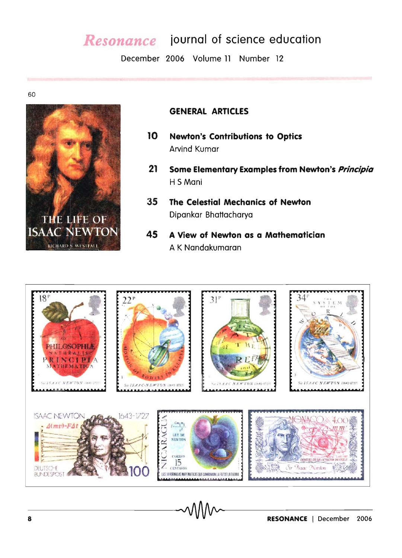## Resonance journal of science education

December 2006 Volume 11 Number 12

60



#### **GENERAL ARTICLES**

- $10<sub>10</sub>$ **Newton's Contributions to Optics Arvind Kumar**
- $21$ Some Elementary Examples from Newton's *Principia* H S Mani
- 35 The Celestial Mechanics of Newton Dipankar Bhattacharya
- 45 A View of Newton as a Mathematician A K Nandakumaran